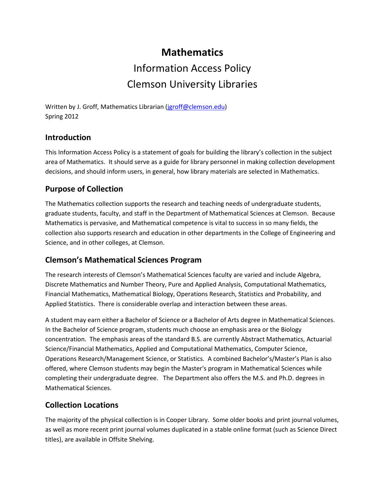# **Mathematics** Information Access Policy Clemson University Libraries

Written by J. Groff, Mathematics Librarian [\(jgroff@clemson.edu\)](mailto:jgroff@clemson.edu) Spring 2012

## **Introduction**

This Information Access Policy is a statement of goals for building the library's collection in the subject area of Mathematics. It should serve as a guide for library personnel in making collection development decisions, and should inform users, in general, how library materials are selected in Mathematics.

## **Purpose of Collection**

The Mathematics collection supports the research and teaching needs of undergraduate students, graduate students, faculty, and staff in the Department of Mathematical Sciences at Clemson. Because Mathematics is pervasive, and Mathematical competence is vital to success in so many fields, the collection also supports research and education in other departments in the College of Engineering and Science, and in other colleges, at Clemson.

#### **Clemson's Mathematical Sciences Program**

The research interests of Clemson's Mathematical Sciences faculty are varied and include Algebra, Discrete Mathematics and Number Theory[, Pure and Applied Analysis,](http://www.clemson.edu/ces/math/graduate/areas/analysis.html) [Computational Mathematics,](http://www.clemson.edu/ces/math/graduate/areas/computation.html) [Financial Mathematics,](http://virtual.clemson.edu/groups/mathsci/graduate/fin_math/index.htm) Mathematical Biology, Operations Research, Statistics and Probability, and Applied Statistics. There is considerable overlap and interaction between these areas.

A student may earn either a Bachelor of Science or a Bachelor of Arts degree in Mathematical Sciences. In the Bachelor of Science program, students much choose an emphasis area or the Biology concentration. The emphasis areas of the standard B.S. are currently Abstract Mathematics, Actuarial Science/Financial Mathematics, Applied and Computational Mathematics, Computer Science, Operations Research/Management Science, or Statistics. A combined Bachelor's/Master's Plan is also offered, where Clemson students may begin the Master's program in Mathematical Sciences while completing their undergraduate degree. The Department also offers the M.S. and Ph.D. degrees in Mathematical Sciences.

#### **Collection Locations**

The majority of the physical collection is in Cooper Library. Some older books and print journal volumes, as well as more recent print journal volumes duplicated in a stable online format (such as Science Direct titles), are available in Offsite Shelving.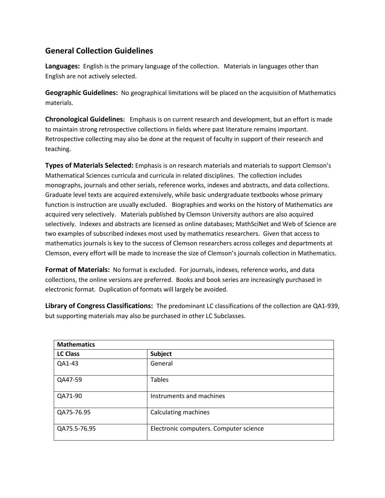## **General Collection Guidelines**

**Languages:** English is the primary language of the collection. Materials in languages other than English are not actively selected.

**Geographic Guidelines:** No geographical limitations will be placed on the acquisition of Mathematics materials.

**Chronological Guidelines:** Emphasis is on current research and development, but an effort is made to maintain strong retrospective collections in fields where past literature remains important. Retrospective collecting may also be done at the request of faculty in support of their research and teaching.

**Types of Materials Selected:** Emphasis is on research materials and materials to support Clemson's Mathematical Sciences curricula and curricula in related disciplines. The collection includes monographs, journals and other serials, reference works, indexes and abstracts, and data collections. Graduate level texts are acquired extensively, while basic undergraduate textbooks whose primary function is instruction are usually excluded. Biographies and works on the history of Mathematics are acquired very selectively. Materials published by Clemson University authors are also acquired selectively. Indexes and abstracts are licensed as online databases; MathSciNet and Web of Science are two examples of subscribed indexes most used by mathematics researchers. Given that access to mathematics journals is key to the success of Clemson researchers across colleges and departments at Clemson, every effort will be made to increase the size of Clemson's journals collection in Mathematics.

**Format of Materials:** No format is excluded. For journals, indexes, reference works, and data collections, the online versions are preferred. Books and book series are increasingly purchased in electronic format. Duplication of formats will largely be avoided.

**Library of Congress Classifications:** The predominant LC classifications of the collection are QA1-939, but supporting materials may also be purchased in other LC Subclasses.

| <b>Mathematics</b> |                                        |
|--------------------|----------------------------------------|
| <b>LC Class</b>    | Subject                                |
| QA1-43             | General                                |
| QA47-59            | <b>Tables</b>                          |
| QA71-90            | Instruments and machines               |
| QA75-76.95         | Calculating machines                   |
| QA75.5-76.95       | Electronic computers. Computer science |